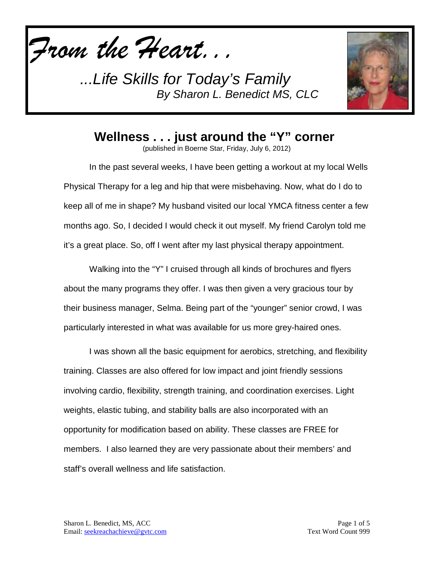*From the Heart...*

*...Life Skills for Today's Family By Sharon L. Benedict MS, CLC*



**Wellness . . . just around the "Y" corner**

(published in Boerne Star, Friday, July 6, 2012)

In the past several weeks, I have been getting a workout at my local Wells Physical Therapy for a leg and hip that were misbehaving. Now, what do I do to keep all of me in shape? My husband visited our local YMCA fitness center a few months ago. So, I decided I would check it out myself. My friend Carolyn told me it's a great place. So, off I went after my last physical therapy appointment.

Walking into the "Y" I cruised through all kinds of brochures and flyers about the many programs they offer. I was then given a very gracious tour by their business manager, Selma. Being part of the "younger" senior crowd, I was particularly interested in what was available for us more grey-haired ones.

I was shown all the basic equipment for aerobics, stretching, and flexibility training. Classes are also offered for low impact and joint friendly sessions involving cardio, flexibility, strength training, and coordination exercises. Light weights, elastic tubing, and stability balls are also incorporated with an opportunity for modification based on ability. These classes are FREE for members. I also learned they are very passionate about their members' and staff's overall wellness and life satisfaction.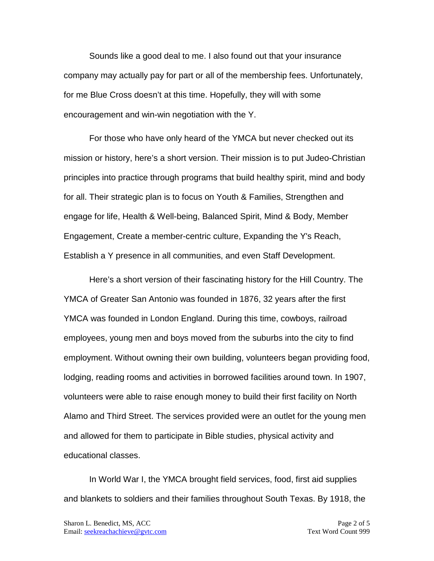Sounds like a good deal to me. I also found out that your insurance company may actually pay for part or all of the membership fees. Unfortunately, for me Blue Cross doesn't at this time. Hopefully, they will with some encouragement and win-win negotiation with the Y.

For those who have only heard of the YMCA but never checked out its mission or history, here's a short version. Their mission is to put Judeo-Christian principles into practice through programs that build healthy spirit, mind and body for all. Their strategic plan is to focus on Youth & Families, Strengthen and engage for life, Health & Well-being, Balanced Spirit, Mind & Body, Member Engagement, Create a member-centric culture, Expanding the Y's Reach, Establish a Y presence in all communities, and even Staff Development.

Here's a short version of their fascinating history for the Hill Country. The YMCA of Greater San Antonio was founded in 1876, 32 years after the first YMCA was founded in London England. During this time, cowboys, railroad employees, young men and boys moved from the suburbs into the city to find employment. Without owning their own building, volunteers began providing food, lodging, reading rooms and activities in borrowed facilities around town. In 1907, volunteers were able to raise enough money to build their first facility on North Alamo and Third Street. The services provided were an outlet for the young men and allowed for them to participate in Bible studies, physical activity and educational classes.

In World War I, the YMCA brought field services, food, first aid supplies and blankets to soldiers and their families throughout South Texas. By 1918, the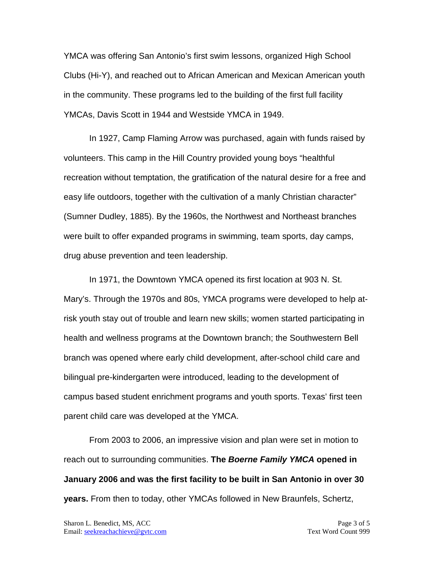YMCA was offering San Antonio's first swim lessons, organized High School Clubs (Hi-Y), and reached out to African American and Mexican American youth in the community. These programs led to the building of the first full facility YMCAs, Davis Scott in 1944 and Westside YMCA in 1949.

In 1927, Camp Flaming Arrow was purchased, again with funds raised by volunteers. This camp in the Hill Country provided young boys "healthful recreation without temptation, the gratification of the natural desire for a free and easy life outdoors, together with the cultivation of a manly Christian character" (Sumner Dudley, 1885). By the 1960s, the Northwest and Northeast branches were built to offer expanded programs in swimming, team sports, day camps, drug abuse prevention and teen leadership.

In 1971, the Downtown YMCA opened its first location at 903 N. St. Mary's. Through the 1970s and 80s, YMCA programs were developed to help atrisk youth stay out of trouble and learn new skills; women started participating in health and wellness programs at the Downtown branch; the Southwestern Bell branch was opened where early child development, after-school child care and bilingual pre-kindergarten were introduced, leading to the development of campus based student enrichment programs and youth sports. Texas' first teen parent child care was developed at the YMCA.

From 2003 to 2006, an impressive vision and plan were set in motion to reach out to surrounding communities. **The** *Boerne Family YMCA* **opened in January 2006 and was the first facility to be built in San Antonio in over 30 years.** From then to today, other YMCAs followed in New Braunfels, Schertz,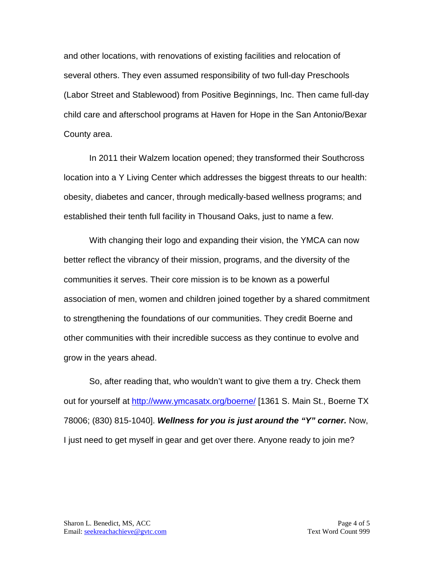and other locations, with renovations of existing facilities and relocation of several others. They even assumed responsibility of two full-day Preschools (Labor Street and Stablewood) from Positive Beginnings, Inc. Then came full-day child care and afterschool programs at Haven for Hope in the San Antonio/Bexar County area.

In 2011 their Walzem location opened; they transformed their Southcross location into a Y Living Center which addresses the biggest threats to our health: obesity, diabetes and cancer, through medically-based wellness programs; and established their tenth full facility in Thousand Oaks, just to name a few.

With changing their logo and expanding their vision, the YMCA can now better reflect the vibrancy of their mission, programs, and the diversity of the communities it serves. Their core mission is to be known as a powerful association of men, women and children joined together by a shared commitment to strengthening the foundations of our communities. They credit Boerne and other communities with their incredible success as they continue to evolve and grow in the years ahead.

So, after reading that, who wouldn't want to give them a try. Check them out for yourself at<http://www.ymcasatx.org/boerne/> [1361 S. Main St., Boerne TX 78006; (830) 815-1040]. *Wellness for you is just around the "Y" corner.* Now, I just need to get myself in gear and get over there. Anyone ready to join me?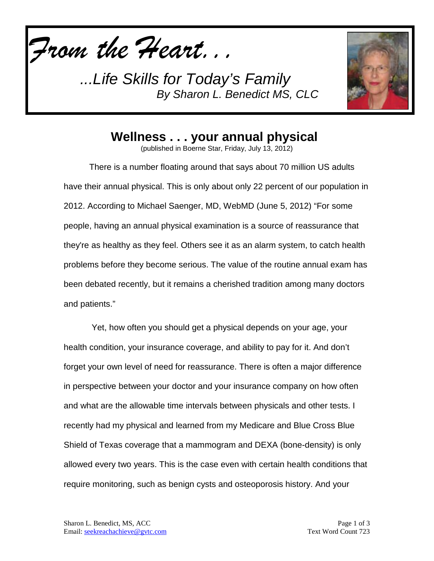*From the Heart...*

*...Life Skills for Today's Family By Sharon L. Benedict MS, CLC*



**Wellness . . . your annual physical**

(published in Boerne Star, Friday, July 13, 2012)

There is a number floating around that says about 70 million US adults have their annual physical. This is only about only 22 percent of our population in 2012. According to Michael Saenger, MD, WebMD (June 5, 2012) "For some people, having an annual physical examination is a source of reassurance that they're as healthy as they feel. Others see it as an alarm system, to catch health problems before they become serious. The value of the routine annual exam has been debated recently, but it remains a cherished tradition among many doctors and patients."

Yet, how often you should get a physical depends on your age, your health condition, your insurance coverage, and ability to pay for it. And don't forget your own level of need for reassurance. There is often a major difference in perspective between your doctor and your insurance company on how often and what are the allowable time intervals between physicals and other tests. I recently had my physical and learned from my Medicare and Blue Cross Blue Shield of Texas coverage that a mammogram and DEXA (bone-density) is only allowed every two years. This is the case even with certain health conditions that require monitoring, such as benign cysts and osteoporosis history. And your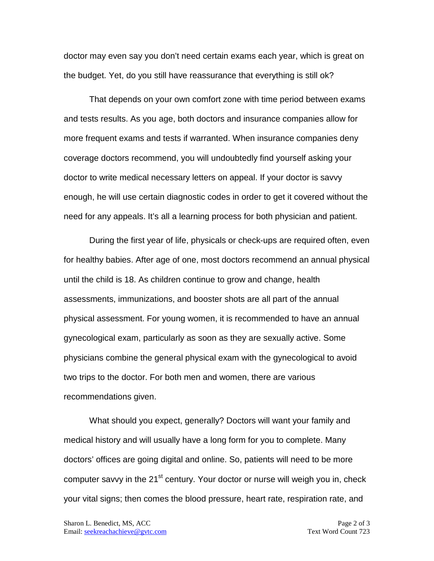doctor may even say you don't need certain exams each year, which is great on the budget. Yet, do you still have reassurance that everything is still ok?

That depends on your own comfort zone with time period between exams and tests results. As you age, both doctors and insurance companies allow for more frequent exams and tests if warranted. When insurance companies deny coverage doctors recommend, you will undoubtedly find yourself asking your doctor to write medical necessary letters on appeal. If your doctor is savvy enough, he will use certain diagnostic codes in order to get it covered without the need for any appeals. It's all a learning process for both physician and patient.

During the first year of life, physicals or check-ups are required often, even for healthy babies. After age of one, most doctors recommend an annual physical until the child is 18. As children continue to grow and change, health assessments, immunizations, and booster shots are all part of the annual physical assessment. For young women, it is recommended to have an annual gynecological exam, particularly as soon as they are sexually active. Some physicians combine the general physical exam with the gynecological to avoid two trips to the doctor. For both men and women, there are various recommendations given.

What should you expect, generally? Doctors will want your family and medical history and will usually have a long form for you to complete. Many doctors' offices are going digital and online. So, patients will need to be more computer savvy in the 21<sup>st</sup> century. Your doctor or nurse will weigh you in, check your vital signs; then comes the blood pressure, heart rate, respiration rate, and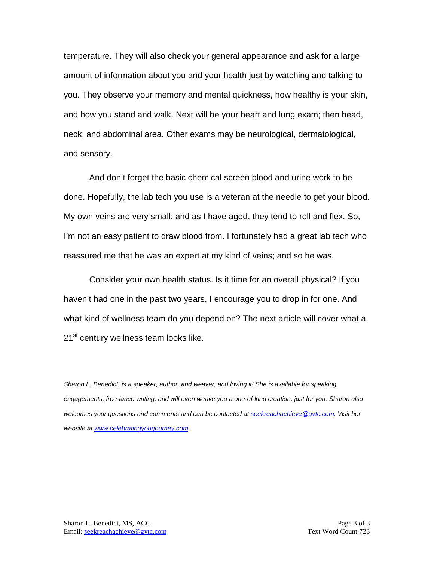temperature. They will also check your general appearance and ask for a large amount of information about you and your health just by watching and talking to you. They observe your memory and mental quickness, how healthy is your skin, and how you stand and walk. Next will be your heart and lung exam; then head, neck, and abdominal area. Other exams may be neurological, dermatological, and sensory.

And don't forget the basic chemical screen blood and urine work to be done. Hopefully, the lab tech you use is a veteran at the needle to get your blood. My own veins are very small; and as I have aged, they tend to roll and flex. So, I'm not an easy patient to draw blood from. I fortunately had a great lab tech who reassured me that he was an expert at my kind of veins; and so he was.

Consider your own health status. Is it time for an overall physical? If you haven't had one in the past two years, I encourage you to drop in for one. And what kind of wellness team do you depend on? The next article will cover what a 21<sup>st</sup> century wellness team looks like.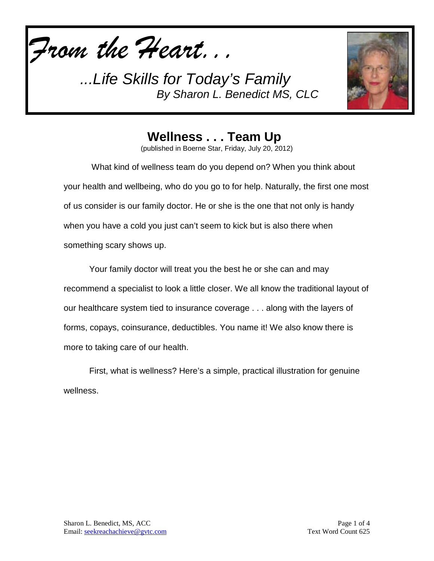*From the Heart...*

*...Life Skills for Today's Family By Sharon L. Benedict MS, CLC*



**Wellness . . . Team Up**

(published in Boerne Star, Friday, July 20, 2012)

What kind of wellness team do you depend on? When you think about your health and wellbeing, who do you go to for help. Naturally, the first one most of us consider is our family doctor. He or she is the one that not only is handy when you have a cold you just can't seem to kick but is also there when something scary shows up.

Your family doctor will treat you the best he or she can and may recommend a specialist to look a little closer. We all know the traditional layout of our healthcare system tied to insurance coverage . . . along with the layers of forms, copays, coinsurance, deductibles. You name it! We also know there is more to taking care of our health.

First, what is wellness? Here's a simple, practical illustration for genuine wellness.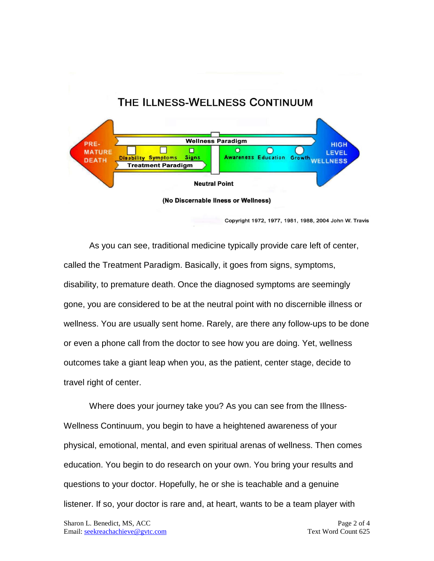## THE ILLNESS-WELLNESS CONTINUUM



Copyright 1972, 1977, 1981, 1988, 2004 John W. Travis

As you can see, traditional medicine typically provide care left of center, called the Treatment Paradigm. Basically, it goes from signs, symptoms, disability, to premature death. Once the diagnosed symptoms are seemingly gone, you are considered to be at the neutral point with no discernible illness or wellness. You are usually sent home. Rarely, are there any follow-ups to be done or even a phone call from the doctor to see how you are doing. Yet, wellness outcomes take a giant leap when you, as the patient, center stage, decide to travel right of center.

Where does your journey take you? As you can see from the Illness-Wellness Continuum, you begin to have a heightened awareness of your physical, emotional, mental, and even spiritual arenas of wellness. Then comes education. You begin to do research on your own. You bring your results and questions to your doctor. Hopefully, he or she is teachable and a genuine listener. If so, your doctor is rare and, at heart, wants to be a team player with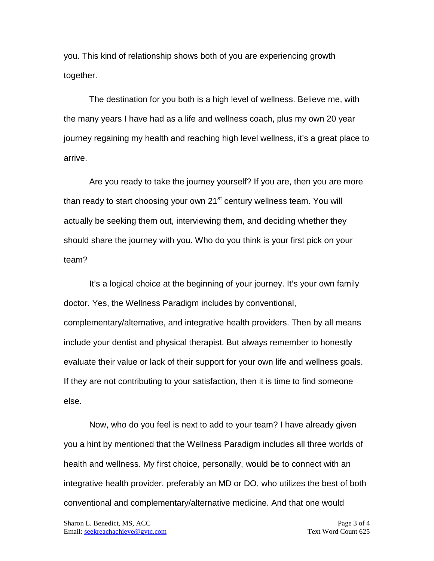you. This kind of relationship shows both of you are experiencing growth together.

The destination for you both is a high level of wellness. Believe me, with the many years I have had as a life and wellness coach, plus my own 20 year journey regaining my health and reaching high level wellness, it's a great place to arrive.

Are you ready to take the journey yourself? If you are, then you are more than ready to start choosing your own 21<sup>st</sup> century wellness team. You will actually be seeking them out, interviewing them, and deciding whether they should share the journey with you. Who do you think is your first pick on your team?

It's a logical choice at the beginning of your journey. It's your own family doctor. Yes, the Wellness Paradigm includes by conventional, complementary/alternative, and integrative health providers. Then by all means include your dentist and physical therapist. But always remember to honestly evaluate their value or lack of their support for your own life and wellness goals. If they are not contributing to your satisfaction, then it is time to find someone else.

Now, who do you feel is next to add to your team? I have already given you a hint by mentioned that the Wellness Paradigm includes all three worlds of health and wellness. My first choice, personally, would be to connect with an integrative health provider, preferably an MD or DO, who utilizes the best of both conventional and complementary/alternative medicine. And that one would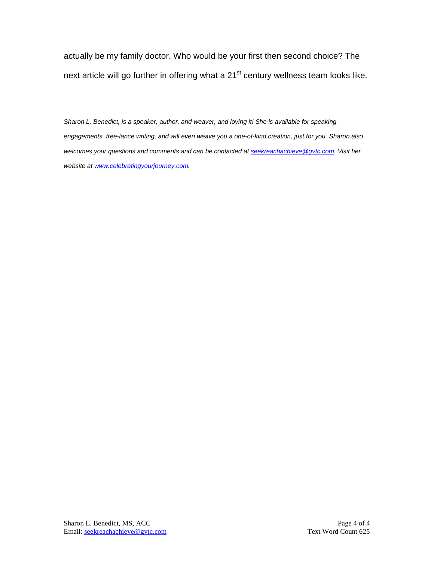actually be my family doctor. Who would be your first then second choice? The next article will go further in offering what a  $21<sup>st</sup>$  century wellness team looks like.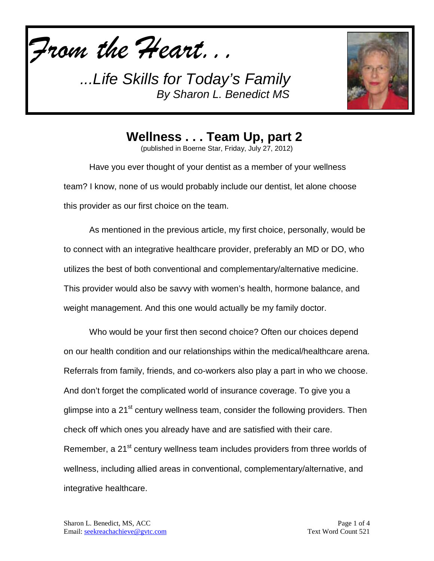*From the Heart...*

*...Life Skills for Today's Family By Sharon L. Benedict MS*



**Wellness . . . Team Up, part 2**

(published in Boerne Star, Friday, July 27, 2012)

Have you ever thought of your dentist as a member of your wellness team? I know, none of us would probably include our dentist, let alone choose this provider as our first choice on the team.

As mentioned in the previous article, my first choice, personally, would be to connect with an integrative healthcare provider, preferably an MD or DO, who utilizes the best of both conventional and complementary/alternative medicine. This provider would also be savvy with women's health, hormone balance, and weight management. And this one would actually be my family doctor.

Who would be your first then second choice? Often our choices depend on our health condition and our relationships within the medical/healthcare arena. Referrals from family, friends, and co-workers also play a part in who we choose. And don't forget the complicated world of insurance coverage. To give you a glimpse into a 21<sup>st</sup> century wellness team, consider the following providers. Then check off which ones you already have and are satisfied with their care. Remember, a 21<sup>st</sup> century wellness team includes providers from three worlds of wellness, including allied areas in conventional, complementary/alternative, and integrative healthcare.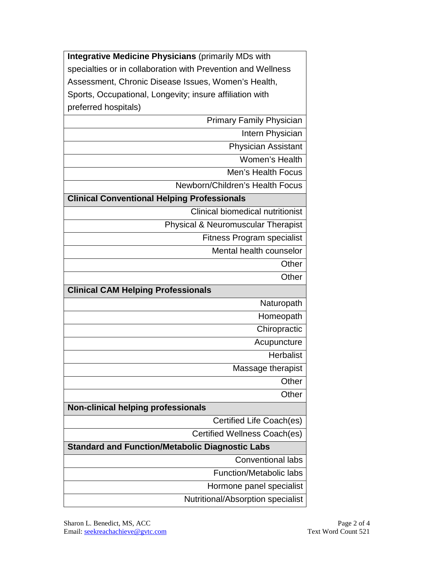**Integrative Medicine Physicians** (primarily MDs with specialties or in collaboration with Prevention and Wellness Assessment, Chronic Disease Issues, Women's Health, Sports, Occupational, Longevity; insure affiliation with preferred hospitals)

Primary Family Physician

Intern Physician

Physician Assistant

Women's Health

Men's Health Focus

Newborn/Children's Health Focus

## **Clinical Conventional Helping Professionals**

Clinical biomedical nutritionist

Physical & Neuromuscular Therapist

Fitness Program specialist

Mental health counselor

**Other** 

**Other** 

**Clinical CAM Helping Professionals**

Naturopath

Homeopath

**Chiropractic** 

Acupuncture **Herbalist** 

Massage therapist

**Other Other** 

**Non-clinical helping professionals** 

Certified Life Coach(es)

Certified Wellness Coach(es)

## **Standard and Function/Metabolic Diagnostic Labs**

Conventional labs

Function/Metabolic labs

Hormone panel specialist

Nutritional/Absorption specialist